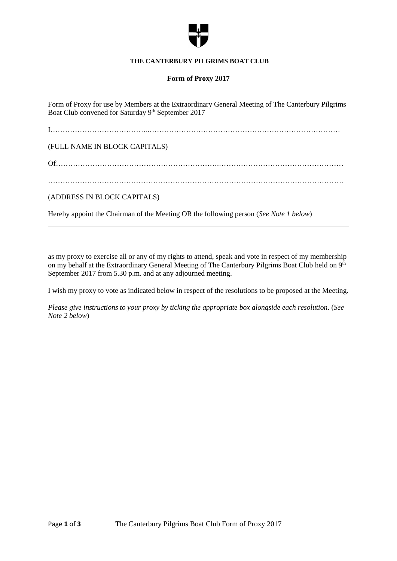

### **THE CANTERBURY PILGRIMS BOAT CLUB**

## **Form of Proxy 2017**

Form of Proxy for use by Members at the Extraordinary General Meeting of The Canterbury Pilgrims Boat Club convened for Saturday 9<sup>th</sup> September 2017

I…………………………………..……………………………………………………………………

(FULL NAME IN BLOCK CAPITALS)

Of………………………………………………………….……………………………………………

(ADDRESS IN BLOCK CAPITALS)

Hereby appoint the Chairman of the Meeting OR the following person (*See Note 1 below*)

as my proxy to exercise all or any of my rights to attend, speak and vote in respect of my membership on my behalf at the Extraordinary General Meeting of The Canterbury Pilgrims Boat Club held on 9<sup>th</sup> September 2017 from 5.30 p.m. and at any adjourned meeting.

I wish my proxy to vote as indicated below in respect of the resolutions to be proposed at the Meeting.

*Please give instructions to your proxy by ticking the appropriate box alongside each resolution*. (*See Note 2 below*)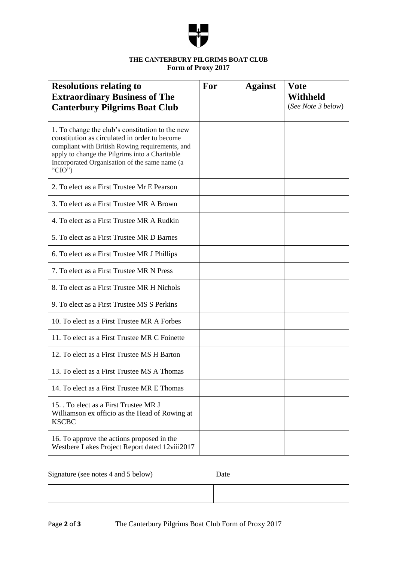

# **THE CANTERBURY PILGRIMS BOAT CLUB Form of Proxy 2017**

| <b>Resolutions relating to</b><br><b>Extraordinary Business of The</b><br><b>Canterbury Pilgrims Boat Club</b>                                                                                                                                                       | For | <b>Against</b> | <b>Vote</b><br>Withheld<br>(See Note 3 below) |
|----------------------------------------------------------------------------------------------------------------------------------------------------------------------------------------------------------------------------------------------------------------------|-----|----------------|-----------------------------------------------|
| 1. To change the club's constitution to the new<br>constitution as circulated in order to become<br>compliant with British Rowing requirements, and<br>apply to change the Pilgrims into a Charitable<br>Incorporated Organisation of the same name (a<br>" $CIO$ ") |     |                |                                               |
| 2. To elect as a First Trustee Mr E Pearson                                                                                                                                                                                                                          |     |                |                                               |
| 3. To elect as a First Trustee MR A Brown                                                                                                                                                                                                                            |     |                |                                               |
| 4. To elect as a First Trustee MR A Rudkin                                                                                                                                                                                                                           |     |                |                                               |
| 5. To elect as a First Trustee MR D Barnes                                                                                                                                                                                                                           |     |                |                                               |
| 6. To elect as a First Trustee MR J Phillips                                                                                                                                                                                                                         |     |                |                                               |
| 7. To elect as a First Trustee MR N Press                                                                                                                                                                                                                            |     |                |                                               |
| 8. To elect as a First Trustee MR H Nichols                                                                                                                                                                                                                          |     |                |                                               |
| 9. To elect as a First Trustee MS S Perkins                                                                                                                                                                                                                          |     |                |                                               |
| 10. To elect as a First Trustee MR A Forbes                                                                                                                                                                                                                          |     |                |                                               |
| 11. To elect as a First Trustee MR C Foinette                                                                                                                                                                                                                        |     |                |                                               |
| 12. To elect as a First Trustee MS H Barton                                                                                                                                                                                                                          |     |                |                                               |
| 13. To elect as a First Trustee MS A Thomas                                                                                                                                                                                                                          |     |                |                                               |
| 14. To elect as a First Trustee MR E Thomas                                                                                                                                                                                                                          |     |                |                                               |
| 15. To elect as a First Trustee MR J<br>Williamson ex officio as the Head of Rowing at<br><b>KSCBC</b>                                                                                                                                                               |     |                |                                               |
| 16. To approve the actions proposed in the<br>Westbere Lakes Project Report dated 12viii2017                                                                                                                                                                         |     |                |                                               |

Signature (see notes 4 and 5 below) Date